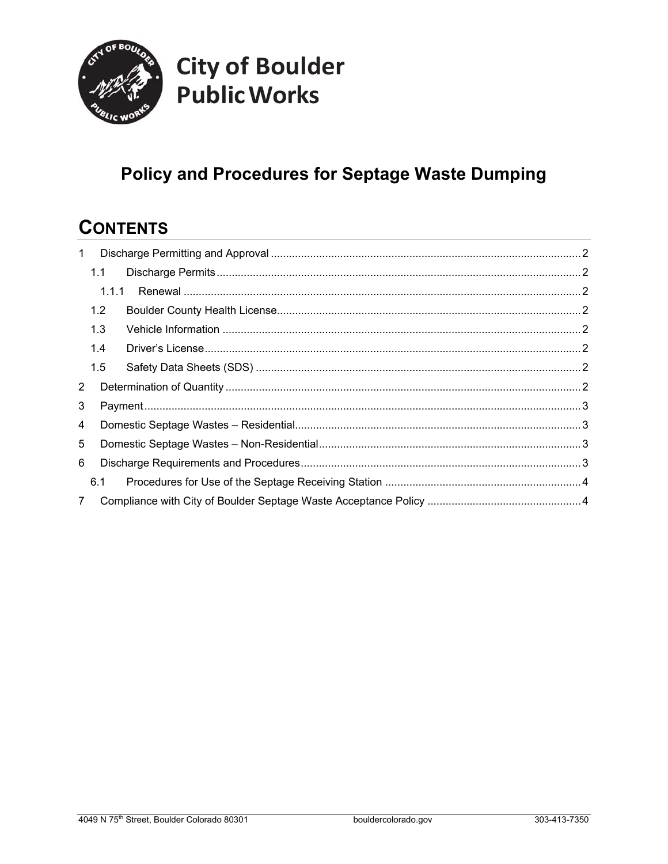

# **City of Boulder Public Works**

### **Policy and Procedures for Septage Waste Dumping**

### **CONTENTS**

| $\mathbf{1}$ |       |  |  |
|--------------|-------|--|--|
|              | 1.1   |  |  |
|              | 1.1.1 |  |  |
|              | 1.2   |  |  |
|              | 1.3   |  |  |
|              | 1.4   |  |  |
|              | 1.5   |  |  |
| 2            |       |  |  |
| 3            |       |  |  |
| 4            |       |  |  |
| 5            |       |  |  |
| 6            |       |  |  |
|              | 6.1   |  |  |
| $7^{\circ}$  |       |  |  |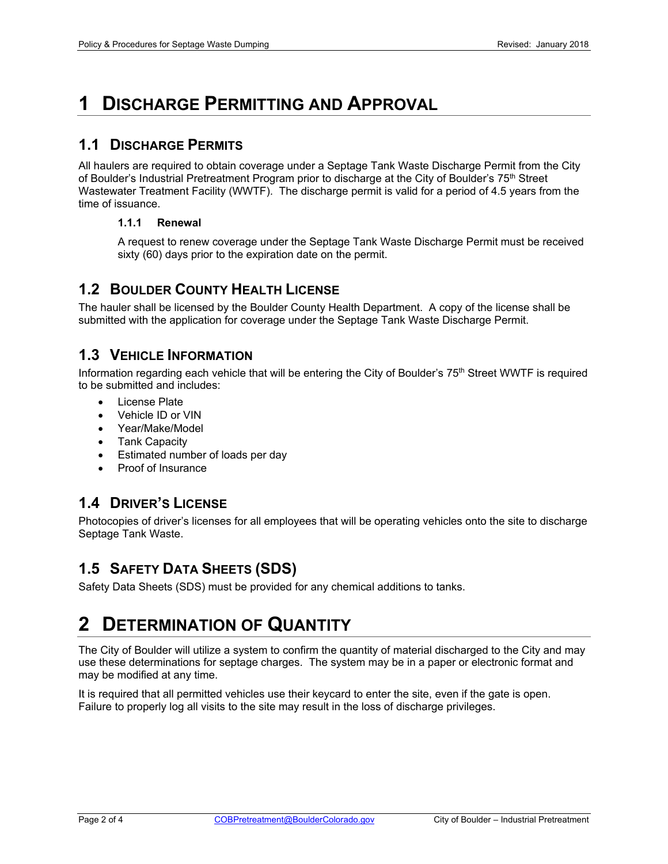### **1 DISCHARGE PERMITTING AND APPROVAL**

#### **1.1 DISCHARGE PERMITS**

All haulers are required to obtain coverage under a Septage Tank Waste Discharge Permit from the City of Boulder's Industrial Pretreatment Program prior to discharge at the City of Boulder's 75<sup>th</sup> Street Wastewater Treatment Facility (WWTF). The discharge permit is valid for a period of 4.5 years from the time of issuance.

#### **1.1.1 Renewal**

A request to renew coverage under the Septage Tank Waste Discharge Permit must be received sixty (60) days prior to the expiration date on the permit.

#### **1.2 BOULDER COUNTY HEALTH LICENSE**

The hauler shall be licensed by the Boulder County Health Department. A copy of the license shall be submitted with the application for coverage under the Septage Tank Waste Discharge Permit.

#### **1.3 VEHICLE INFORMATION**

Information regarding each vehicle that will be entering the City of Boulder's 75<sup>th</sup> Street WWTF is required to be submitted and includes:

- License Plate
- Vehicle ID or VIN
- Year/Make/Model
- Tank Capacity
- Estimated number of loads per day
- Proof of Insurance

#### **1.4 DRIVER'S LICENSE**

Photocopies of driver's licenses for all employees that will be operating vehicles onto the site to discharge Septage Tank Waste.

### **1.5 SAFETY DATA SHEETS (SDS)**

Safety Data Sheets (SDS) must be provided for any chemical additions to tanks.

### **2 DETERMINATION OF QUANTITY**

The City of Boulder will utilize a system to confirm the quantity of material discharged to the City and may use these determinations for septage charges. The system may be in a paper or electronic format and may be modified at any time.

It is required that all permitted vehicles use their keycard to enter the site, even if the gate is open. Failure to properly log all visits to the site may result in the loss of discharge privileges.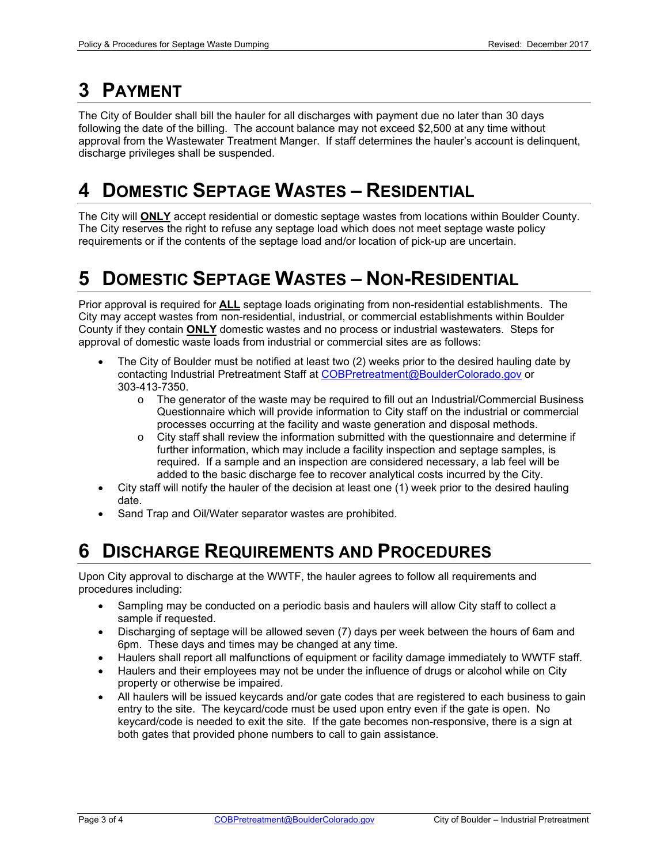## **3 PAYMENT**

The City of Boulder shall bill the hauler for all discharges with payment due no later than 30 days following the date of the billing. The account balance may not exceed \$2,500 at any time without approval from the Wastewater Treatment Manger. If staff determines the hauler's account is delinquent, discharge privileges shall be suspended.

### **4 DOMESTIC SEPTAGE WASTES – RESIDENTIAL**

The City will **ONLY** accept residential or domestic septage wastes from locations within Boulder County. The City reserves the right to refuse any septage load which does not meet septage waste policy requirements or if the contents of the septage load and/or location of pick-up are uncertain.

### **5 DOMESTIC SEPTAGE WASTES – NON-RESIDENTIAL**

Prior approval is required for **ALL** septage loads originating from non-residential establishments. The City may accept wastes from non-residential, industrial, or commercial establishments within Boulder County if they contain **ONLY** domestic wastes and no process or industrial wastewaters. Steps for approval of domestic waste loads from industrial or commercial sites are as follows:

- The City of Boulder must be notified at least two (2) weeks prior to the desired hauling date by contacting Industrial Pretreatment Staff at COBPretreatment@BoulderColorado.gov or 303-413-7350.
	- o The generator of the waste may be required to fill out an Industrial/Commercial Business Questionnaire which will provide information to City staff on the industrial or commercial processes occurring at the facility and waste generation and disposal methods.
	- $\circ$  City staff shall review the information submitted with the questionnaire and determine if further information, which may include a facility inspection and septage samples, is required. If a sample and an inspection are considered necessary, a lab feel will be added to the basic discharge fee to recover analytical costs incurred by the City.
- City staff will notify the hauler of the decision at least one (1) week prior to the desired hauling date.
- Sand Trap and Oil/Water separator wastes are prohibited.

### **6 DISCHARGE REQUIREMENTS AND PROCEDURES**

Upon City approval to discharge at the WWTF, the hauler agrees to follow all requirements and procedures including:

- Sampling may be conducted on a periodic basis and haulers will allow City staff to collect a sample if requested.
- Discharging of septage will be allowed seven (7) days per week between the hours of 6am and 6pm. These days and times may be changed at any time.
- Haulers shall report all malfunctions of equipment or facility damage immediately to WWTF staff.
- Haulers and their employees may not be under the influence of drugs or alcohol while on City property or otherwise be impaired.
- All haulers will be issued keycards and/or gate codes that are registered to each business to gain entry to the site. The keycard/code must be used upon entry even if the gate is open. No keycard/code is needed to exit the site. If the gate becomes non-responsive, there is a sign at both gates that provided phone numbers to call to gain assistance.